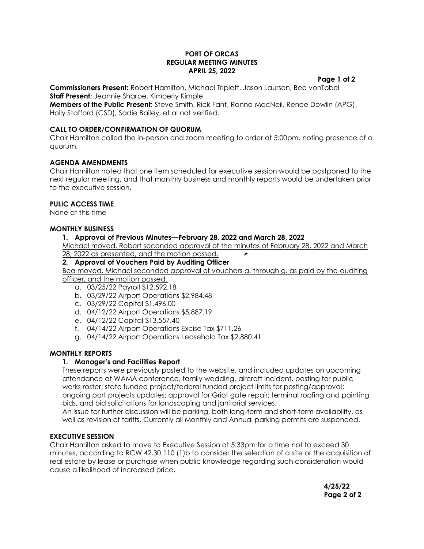#### **PORT OF ORCAS REGULAR MEETING MINUTES APRIL 25, 2022**

#### **Page 1 of 2**

**Commissioners Present:** Robert Hamilton, Michael Triplett, Jason Laursen, Bea vonTobel **Staff Present:** Jeannie Sharpe, Kimberly Kimple

**Members of the Public Present:** Steve Smith, Rick Fant, Ranna MacNeil, Renee Dowlin (APG), Holly Stafford (CSD), Sadie Bailey, et al not verified.

## **CALL TO ORDER/CONFIRMATION OF QUORUM**

Chair Hamilton called the in-person and zoom meeting to order at 5:00pm, noting presence of a quorum.

## **AGENDA AMENDMENTS**

Chair Hamilton noted that one item scheduled for executive session would be postponed to the next regular meeting, and that monthly business and monthly reports would be undertaken prior to the executive session.

# **PULIC ACCESS TIME**

None at this time

# **MONTHLY BUSINESS**

# **1. Approval of Previous Minutes—February 28, 2022 and March 28, 2022**

Michael moved, Robert seconded approval of the minutes of February 28, 2022 and March 28, 2022 as presented, and the motion passed.  $\overline{r}$ 

## **2. Approval of Vouchers Paid by Auditing Officer**

Bea moved, Michael seconded approval of vouchers a. through g. as paid by the auditing officer, and the motion passed.

- a. 03/25/22 Payroll \$12,592.18
- b. 03/29/22 Airport Operations \$2,984.48
- c. 03/29/22 Capital \$1,496.00
- d. 04/12/22 Airport Operations \$5,887.19
- e. 04/12/22 Capital \$13,557.40
- f. 04/14/22 Airport Operations Excise Tax \$711.26
- g. 04/14/22 Airport Operations Leasehold Tax \$2,880.41

## **MONTHLY REPORTS**

## **1. Manager's and Facilities Report**

These reports were previously posted to the website, and included updates on upcoming attendance at WAMA conference, family wedding, aircraft incident, posting for public works roster, state funded project/federal funded project limits for posting/approval; ongoing port projects updates; approval for Griot gate repair; terminal roofing and painting bids, and bid solicitations for landscaping and janitorial services.

An issue for further discussion will be parking, both long-term and short-term availability, as well as revision of tariffs. Currently all Monthly and Annual parking permits are suspended.

## **EXECUTIVE SESSION**

Chair Hamilton asked to move to Executive Session at 5:33pm for a time not to exceed 30 minutes, according to RCW 42.30.110 (1)b to consider the selection of a site or the acquisition of real estate by lease or purchase when public knowledge regarding such consideration would cause a likelihood of increased price.

> **4/25/22 Page 2 of 2**